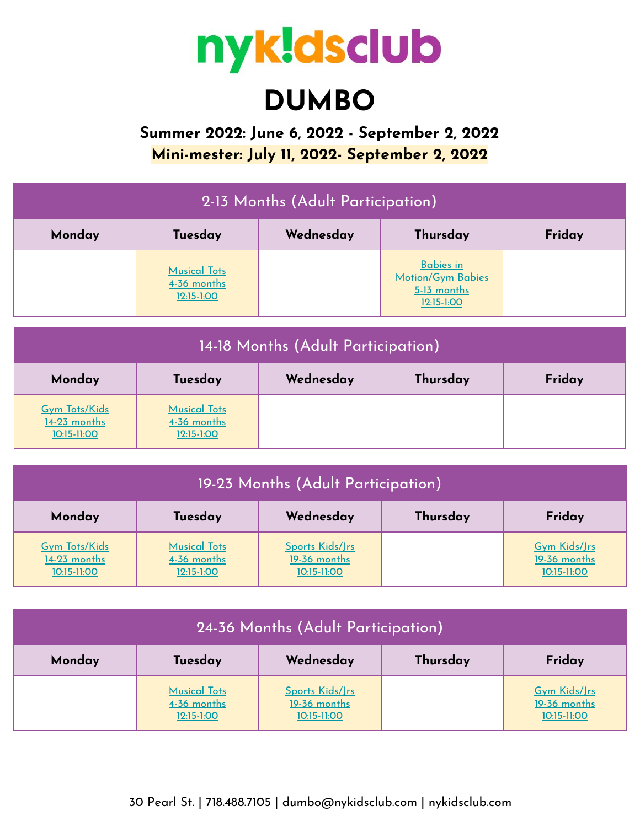

# **DUMBO**

**Summer 2022: June 6, 2022 - September 2, 2022 Mini-mester: July 11, 2022- September 2, 2022**

|                                        |                                                  | 2-13 Months (Adult Participation)  |                                                                             |        |
|----------------------------------------|--------------------------------------------------|------------------------------------|-----------------------------------------------------------------------------|--------|
| Monday                                 | Tuesday                                          | Wednesday                          | Thursday                                                                    | Friday |
|                                        | <b>Musical Tots</b><br>4-36 months<br>12:15-1:00 |                                    | <b>Babies in</b><br><b>Motion/Gym Babies</b><br>$5-13$ months<br>12:15-1:00 |        |
|                                        |                                                  | 14-18 Months (Adult Participation) |                                                                             |        |
| Monday                                 | Tuesday                                          | Wednesday                          | Thursday                                                                    | Friday |
| <b>Gym Tots/Kids</b><br>$14-23$ months | <b>Musical Tots</b><br><u>4-36 months</u>        |                                    |                                                                             |        |

| 19-23 Months (Adult Participation)                    |                                                    |                                                |          |                                                    |
|-------------------------------------------------------|----------------------------------------------------|------------------------------------------------|----------|----------------------------------------------------|
| Monday                                                | Tuesday                                            | Wednesday                                      | Thursday | Friday                                             |
| <b>Gym Tots/Kids</b><br>$14-23$ months<br>10:15-11:00 | <b>Musical Tots</b><br>4-36 months<br>$12:15-1:00$ | Sports Kids/Jrs<br>19-36 months<br>10:15-11:00 |          | <b>Gym Kids/Jrs</b><br>19-36 months<br>10:15-11:00 |

[10:15-11:00](https://www.hisawyer.com/ny-kids-club---dumbo/schedules/activity-set/327469)

[12:15-1:00](https://www.hisawyer.com/ny-kids-club---dumbo/schedules/activity-set/327474)

| 24-36 Months (Adult Participation) |                                                      |                                                |          |                                                    |
|------------------------------------|------------------------------------------------------|------------------------------------------------|----------|----------------------------------------------------|
| Monday                             | Tuesday                                              | Wednesday                                      | Thursday | Friday                                             |
|                                    | <b>Musical Tots</b><br>4-36 months<br>$12:15 - 1:00$ | Sports Kids/Jrs<br>19-36 months<br>10:15-11:00 |          | <b>Gym Kids/Jrs</b><br>19-36 months<br>10:15-11:00 |